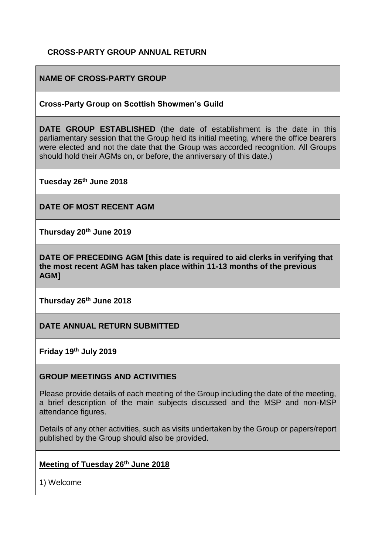### **CROSS-PARTY GROUP ANNUAL RETURN**

### **NAME OF CROSS-PARTY GROUP**

#### **Cross-Party Group on Scottish Showmen's Guild**

**DATE GROUP ESTABLISHED** (the date of establishment is the date in this parliamentary session that the Group held its initial meeting, where the office bearers were elected and not the date that the Group was accorded recognition. All Groups should hold their AGMs on, or before, the anniversary of this date.)

**Tuesday 26th June 2018** 

**DATE OF MOST RECENT AGM**

**Thursday 20th June 2019** 

**DATE OF PRECEDING AGM [this date is required to aid clerks in verifying that the most recent AGM has taken place within 11-13 months of the previous AGM]**

**Thursday 26th June 2018** 

**DATE ANNUAL RETURN SUBMITTED**

**Friday 19th July 2019** 

#### **GROUP MEETINGS AND ACTIVITIES**

Please provide details of each meeting of the Group including the date of the meeting, a brief description of the main subjects discussed and the MSP and non-MSP attendance figures.

Details of any other activities, such as visits undertaken by the Group or papers/report published by the Group should also be provided.

### **Meeting of Tuesday 26th June 2018**

1) Welcome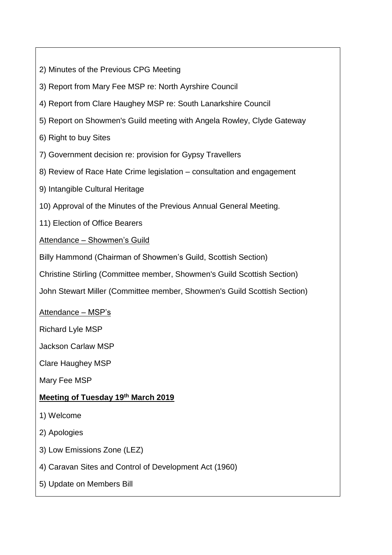- 2) Minutes of the Previous CPG Meeting
- 3) Report from Mary Fee MSP re: North Ayrshire Council
- 4) Report from Clare Haughey MSP re: South Lanarkshire Council
- 5) Report on Showmen's Guild meeting with Angela Rowley, Clyde Gateway

6) Right to buy Sites

- 7) Government decision re: provision for Gypsy Travellers
- 8) Review of Race Hate Crime legislation consultation and engagement
- 9) Intangible Cultural Heritage
- 10) Approval of the Minutes of the Previous Annual General Meeting.

11) Election of Office Bearers

Attendance – Showmen's Guild

Billy Hammond (Chairman of Showmen's Guild, Scottish Section)

Christine Stirling (Committee member, Showmen's Guild Scottish Section)

John Stewart Miller (Committee member, Showmen's Guild Scottish Section)

Attendance – MSP's

Richard Lyle MSP

Jackson Carlaw MSP

Clare Haughey MSP

Mary Fee MSP

## **Meeting of Tuesday 19th March 2019**

- 1) Welcome
- 2) Apologies
- 3) Low Emissions Zone (LEZ)
- 4) Caravan Sites and Control of Development Act (1960)
- 5) Update on Members Bill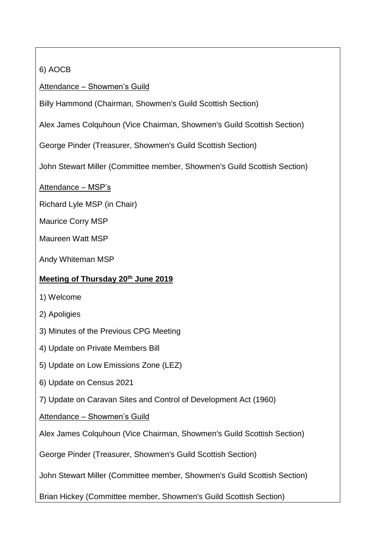# 6) AOCB

Attendance – Showmen's Guild

Billy Hammond (Chairman, Showmen's Guild Scottish Section)

Alex James Colquhoun (Vice Chairman, Showmen's Guild Scottish Section)

George Pinder (Treasurer, Showmen's Guild Scottish Section)

John Stewart Miller (Committee member, Showmen's Guild Scottish Section)

Attendance – MSP's

Richard Lyle MSP (in Chair)

Maurice Corry MSP

Maureen Watt MSP

Andy Whiteman MSP

### **Meeting of Thursday 20th June 2019**

- 1) Welcome
- 2) Apoligies
- 3) Minutes of the Previous CPG Meeting
- 4) Update on Private Members Bill
- 5) Update on Low Emissions Zone (LEZ)
- 6) Update on Census 2021
- 7) Update on Caravan Sites and Control of Development Act (1960)

Attendance – Showmen's Guild

Alex James Colquhoun (Vice Chairman, Showmen's Guild Scottish Section)

George Pinder (Treasurer, Showmen's Guild Scottish Section)

John Stewart Miller (Committee member, Showmen's Guild Scottish Section)

Brian Hickey (Committee member, Showmen's Guild Scottish Section)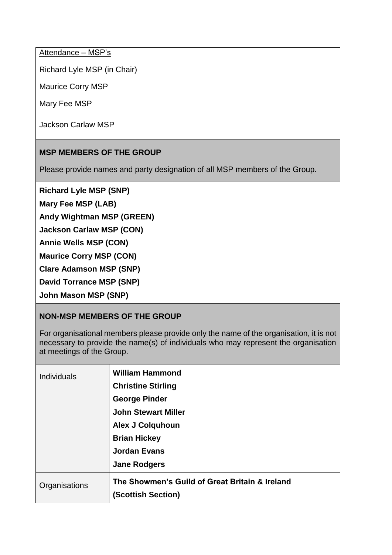Attendance – MSP's

Richard Lyle MSP (in Chair)

Maurice Corry MSP

Mary Fee MSP

Jackson Carlaw MSP

### **MSP MEMBERS OF THE GROUP**

Please provide names and party designation of all MSP members of the Group.

**Richard Lyle MSP (SNP)**

**Mary Fee MSP (LAB)** 

**Andy Wightman MSP (GREEN)**

**Jackson Carlaw MSP (CON)** 

**Annie Wells MSP (CON)**

**Maurice Corry MSP (CON)** 

**Clare Adamson MSP (SNP)** 

**David Torrance MSP (SNP)**

**John Mason MSP (SNP)**

### **NON-MSP MEMBERS OF THE GROUP**

For organisational members please provide only the name of the organisation, it is not necessary to provide the name(s) of individuals who may represent the organisation at meetings of the Group.

| <b>Individuals</b> | <b>William Hammond</b><br><b>Christine Stirling</b><br><b>George Pinder</b><br><b>John Stewart Miller</b><br><b>Alex J Colquhoun</b><br><b>Brian Hickey</b><br><b>Jordan Evans</b><br><b>Jane Rodgers</b> |
|--------------------|-----------------------------------------------------------------------------------------------------------------------------------------------------------------------------------------------------------|
| Organisations      | The Showmen's Guild of Great Britain & Ireland<br>(Scottish Section)                                                                                                                                      |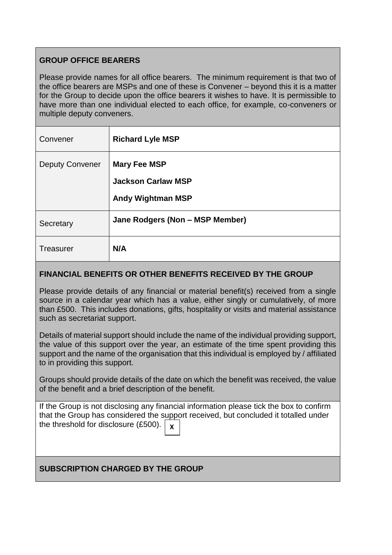## **GROUP OFFICE BEARERS**

Please provide names for all office bearers. The minimum requirement is that two of the office bearers are MSPs and one of these is Convener – beyond this it is a matter for the Group to decide upon the office bearers it wishes to have. It is permissible to have more than one individual elected to each office, for example, co-conveners or multiple deputy conveners.

| Convener               | <b>Richard Lyle MSP</b>                                                      |
|------------------------|------------------------------------------------------------------------------|
| <b>Deputy Convener</b> | <b>Mary Fee MSP</b><br><b>Jackson Carlaw MSP</b><br><b>Andy Wightman MSP</b> |
| Secretary              | Jane Rodgers (Non - MSP Member)                                              |
| Treasurer              | N/A                                                                          |

#### **FINANCIAL BENEFITS OR OTHER BENEFITS RECEIVED BY THE GROUP**

Please provide details of any financial or material benefit(s) received from a single source in a calendar year which has a value, either singly or cumulatively, of more than £500. This includes donations, gifts, hospitality or visits and material assistance such as secretariat support.

Details of material support should include the name of the individual providing support, the value of this support over the year, an estimate of the time spent providing this support and the name of the organisation that this individual is employed by / affiliated to in providing this support.

Groups should provide details of the date on which the benefit was received, the value of the benefit and a brief description of the benefit.

If the Group is not disclosing any financial information please tick the box to confirm that the Group has considered the support received, but concluded it totalled under the threshold for disclosure (£500). **X**

### **SUBSCRIPTION CHARGED BY THE GROUP**